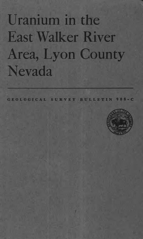# Uranium in the East Walker River Area, Lyon County Nevada

**GEOLOGICAL SURVEY BULLETIN 988-C**

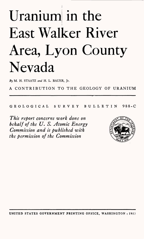# Uranium in the East Walker River Area, Lyon County Nevada

*By* M. H. STAATZ *and* H. L. BAUER, Jr.

A CONTRIBUTION TO THE GEOLOGY OF URANIUM

GEOLOGICAL SURVEY BULLETIN 988-C

*This report concerns work done on behalf of the U. S. Atomic Energy Commission and is published with the permission of the Commission*

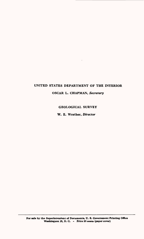# **UNITED STATES DEPARTMENT OF THE INTERIOR OSCAR L. CHAPMAN,** *Secretary*

### **GEOLOGICAL SURVEY**

**W. E. Wrather,** *Director*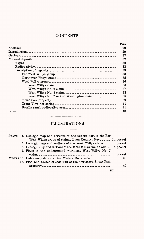## **CONTENTS**

|                                           | Page |
|-------------------------------------------|------|
|                                           | 29   |
|                                           | 29   |
|                                           | 32   |
|                                           | 32   |
|                                           | 32   |
|                                           | 33   |
|                                           | 33   |
|                                           | 33   |
|                                           | 35   |
|                                           | 36   |
|                                           | 36   |
| West Willys No. 2 claim                   | 37   |
|                                           | 38   |
| West Willys No. 7 or Old Washington claim | 38   |
|                                           | 39   |
|                                           | 41   |
|                                           | 41   |
| Index                                     | 43   |

## ILLUSTRATIONS  $\overline{\phantom{a}}$

\_\_\_\_\_\_\_\_\_\_

| PLATE | 4. Geologic map and sections of the eastern part of the Far                      |    |
|-------|----------------------------------------------------------------------------------|----|
|       | West Willys group of claims, Lyon County, Nev In pocket                          |    |
|       | 5. Geologic map and sections of the West Willys claim <sub>-----</sub> In pocket |    |
|       | 6. Geologic map and sections of the West Willys No. 7 claim In pocket            |    |
|       | 7. Plans of the underground workings, West Willys No. 7                          |    |
|       |                                                                                  |    |
|       | FIGURE 15. Index map showing East Walker River area                              | 30 |
|       | 16. Plan and sketch of east wall of the new shaft, Silver Pick                   |    |
|       |                                                                                  | 40 |
|       |                                                                                  | ш  |

 $\sim$ 

 $\mathcal{A}$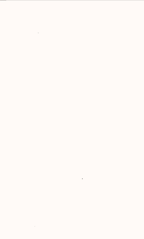$\label{eq:2.1} \frac{1}{\sqrt{2}}\int_{\mathbb{R}^3}\frac{1}{\sqrt{2}}\left(\frac{1}{\sqrt{2}}\right)^2\frac{1}{\sqrt{2}}\left(\frac{1}{\sqrt{2}}\right)^2\frac{1}{\sqrt{2}}\left(\frac{1}{\sqrt{2}}\right)^2\frac{1}{\sqrt{2}}\left(\frac{1}{\sqrt{2}}\right)^2.$  $\mathcal{L}(\mathcal{L}^{\text{max}})$  , where  $\mathcal{L}^{\text{max}}$  $\frac{1}{2} \sum_{i=1}^n \frac{1}{2} \sum_{j=1}^n \frac{1}{2} \sum_{j=1}^n \frac{1}{2} \sum_{j=1}^n \frac{1}{2} \sum_{j=1}^n \frac{1}{2} \sum_{j=1}^n \frac{1}{2} \sum_{j=1}^n \frac{1}{2} \sum_{j=1}^n \frac{1}{2} \sum_{j=1}^n \frac{1}{2} \sum_{j=1}^n \frac{1}{2} \sum_{j=1}^n \frac{1}{2} \sum_{j=1}^n \frac{1}{2} \sum_{j=1}^n \frac{1}{2} \sum_{j=$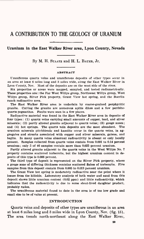# A CONTRIBUTION TO THE GEOLOGY OF URANIUM

#### **Uranium in the East Walker River area, Lyon County, Nevada**

By M. H. STAATZ and H. L. BAUER, Jr.

#### **ABSTRACT**

Uraniferous quartz veins and uraniferous deposits of other types occur in an area at least 6 miles long and 3 miles wide, along the East Walker River in Lyon County, Nev. Most of the deposits are on the west side of the river.

Six properties or areas were mapped, sampled, and tested radiometrically. These properties are: the Par West Willys group, Northwest Willys group, West Willys group, Silver Pick property, Grant View hot spring, and the Boerlin ranch radioactive area.

The East Walker River area is underlain by coarse-grained porphyritic granite. Cutting the granite are numerous aplite dikes and a few perthitequartz pegmatites. Faults were seen in a few places.

Radioactive material was found in the East Walker River area in deposits of four types: (1) quartz veins carrying small amounts of copper, lead, and silver minerals; (2) partly altered granite adjacent to quartz veins; (3) gouge zones; and (4) hot springs. The quartz vein deposits are the most abundant. uranium minerals pitchblende and kasolite occur in the quartz veins, in aggregates and streaks associated with copper and silver minerals, galena, and barite. In many quartz veins abnormal radioactivity is absent or only locally present. Samples collected from quartz veins contain from 0.001 to 0.14 percent uranium; only 5 of 46 samples contain more than 0,025 percent uranium.

Partly altered granite adjacent to the quartz veins in the West Willys No. 7 property contains scattered torbernite, but the highest uranium content in deposits of this type is 0.006 percent.

The third type of deposit is represented on the Silver Pick property, where a gouge zone of differing thickness contains scattered flakes of torbernite. Five samples from this deposit contain from 0.005 to 0.013 percent uranium.

The Grant View hot spring is moderately radioactive near the point where it issues from the hillside. Laboratory analysis of both water and sand from this deposit shows little uranium content (0.02 ppm) and little radioactivity, which indicates that the radioactivity is due to some short-lived daughter product, probably radon.

The uraniferous material found to date in the area is of too low grade and small size to be of value at present.

#### **INTRODUCTION**

Quartz veins and deposits of other types are uraniferous in an area at least 6 miles long and 3 miles wide in Lyon County, Nev. (fig. 15). The area trends north-northeast along the East Walker River,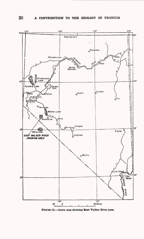

FIQURB 15. Index map showing East Walker River area.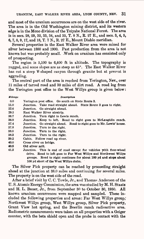and most of the uranium occurrences are on the west side of the river. The area is in the Old Washington mining district, and its western edge is in the Mono division of the Toiyabe National Forest. The area is in sees. 28, 29, 32, 33, 34, and 35, T. 8 N., R. 27 E., and sees. 3, 4, 5, 6,7, 8, 9,17, and 18, T. 7 N., R. 27 E., Mount Diablo meridian.

Several properties in the East Walker River area were mined for silver between 1880 and 1900. Past production from the area is not known but was probably small. Work on uranium has consisted only of prospecting.

The region is 5,100 to 6,400 ft in altitude. The topography is rugged, and some slopes are as steep as 45°. The East Walker River has cut a steep V-shaped canyon through granite but at present is aggrading.

The central part of the area is reached from Yerington, Nev., over 11 miles of tarred road and 30 miles of dirt road. A road log from the Yerington post office to the West Willys group is given below:

#### *Mileage Description*

- 0.0 Yerington post office. Go south on State Route 3. 11.0 Junction. Take road straight ahead. State Route 3 goes to right. 22.6 Junction. Go straight ahead. 29.3 East Walker River airstrip. 36.7 Junction. Turn right to Lewis ranch. 36.9 Junction. Keep to left. Road to right goes to McLaughlin ranch. 37.4 Junction. Go straight ahead. Road to right goes to Mr. Lewis' house. 37.8 Junction. Turn to the. right. 38.0 Junction. Turn to the right. 38.3 Junction. Turn to the right. 39.2 Cabin. Follow road up river. 40.0 Cross river on bridge.<br>40.5 Old silver mill. Old silver mill. 41.3 Junction. This is end of road except for vehicles with four-wheel
- drive. Road to left goes to Far West Willys and Northwest Willys groups. Road to right continues for about 100 yd and stops about 100 yd short of the West Willys claim.

The Silver Pick property can be reached by proceeding straight ahead at the junction at 38.0 miles and continuing for several miles. The property is on the west side of the road.

After a brief visit by C. C. Towle, Jr., and Thomas Anderson of the U. S. Atomic Energy Commission, the area was studied by M. H. Staatz and H. L. Bauer, Jr., from September 30 to October 30, 1950. All known uranium occurrences were mapped and sampled. These included the following properties and areas: Far West Willys group; Northwest Willys group, West Willys group, Silver Pick property, Grant View hot spring, and the Boerlin ranch radioactive area. Radiometric measurements were taken on all properties with a Geiger counter, with the beta shield open and the probe in contact with the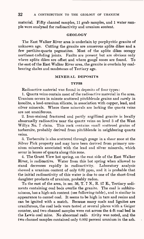material. Fifty channel samples, 11 grab samples, and 1 water sample were analyzed for radioactivity and uranium content.

#### **GEOLOGY**

The East Walker River area is underlain by porphyritic granite of unknown age. Cutting the granite are numerous aplite dikes and a few perthite-quartz pegmatites. Most of the aplite dikes occupy northeast-trending joints. Faults are present but are obvious only where aplite dikes are offset and where gouge zones are found. the east of the East Walker River area, the granite is overlain by coalbearing shales and sandstones of Tertiary age.

#### **MINERAL DEPOSITS**

#### TYPES

Radioactive material was found in deposits of four types:

1. Quartz veins contain most of the radioactive material in the area. Uranium occurs in minute scattered pitchblende grains and rarely in kasolite. a lead-uranium silicate, in association with copper, lead, and silver minerals. Where these minerals are lacking the quartz veins are not uraniferous.

2. Iron-stained fractured and partly argillized granite is locally abnormally radioactive near the quartz veins on level 3 of the West Willys No. 7 claim. This rock contains small scattered grains of torbernite. probably derived from pitchblende in neighboring quartz veins.

3. Torbernite is also scattered through gouge in a shear zone at the Silver Pick property and may have been derived from primary uranium minerals associated with the lead and silver minerals, which occur in lenses of quartz along this zone.

4. The Grant View hot spring, on the east side of the East Walker River, is radioactive. Water from this hot spring when allowed to stand decreases rapidly in radioactivity. Laboratory analysis showed a uranium content of only 0.02 ppm, and it is probable that the initial radioactivity of this water is due to one of the short-lived daughter products of uranium, probably radon.

To the east of the area, in sec. 36, T. 7 N., R. 27 E., Tertiary sediments containing coal beds overlie the granite. The coal is subbituminous, has a high-ash content (see following table), and is similar in -appearance to cannel coal. It seems to be high in tars and resins and can be ignited with a match. Because many coals and lignites are uraniferous, the coal beds were tested at several places with a Geiger counter, and two channel samples were cut across the 4-ft coal bed in the Lewis coal mine. No abnormal radii tivity was noted, and the two channel samples contained only 0.002 percent uranium in the ash.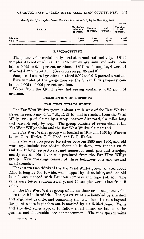| Field no. | Equivalent<br>uranium<br>(percent) | Uranium<br>(percent) | Ash<br>(percent) | Uranium<br>in ash<br>(percent) |
|-----------|------------------------------------|----------------------|------------------|--------------------------------|
| $BS-1-50$ | 0.000                              | 0.001                | 43.53            | 0.002                          |
| $BS-2-50$ | 000.                               | .002                 | 42.03            | .002                           |

*Analyses of samples from the Lewis coal mine, Lyon County, Nev.*

#### RADIOACTIVITY

The quartz veins contain only local abnormal radioactivity. Of 46 samples, 41 contained 0.001 to 0.025 percent uranium, and only 5 contained 0.025 to 0.14 percent uranium. Of these 5 samples, 4 were of selected dump material. (See tables on pp. 35 and 37.)

Samples of altered granite contained 0.002 to 0.013 percent uranium. Five samples of the gouge zone on the Silver Pick property contained 0.005 to 0.006 percent uranium.

Water from the Grant View hot spring contained 0.02 ppm of uranium.

#### **DESCRIPTION OF DEPOSITS**

#### **FAB WEST WILLYS GROUP**

The Far West Willys group is about 1 mile west of the East Walker River, in secs. 5 and 6, T.  $7N$ , R. 27 E., and is reached from the West Willys group of claims by a steep, narrow dirt road, 2.5 miles long and passable only by jeep. The group consists of seven claims: the Far West Willys claim and the Far West Willys claims 2 to 7.

The Far West Willys group was located in 1949 and 1950 by Warren Loose, O. A. Kerlee, J. R. Ford, and L. O. Kerlee.

The area was prospected for silver between 1880 and 1900, and old workings include two shafts about 40 ft deep, two tunnels 80 ft and 125 ft long, respectively, and numerous small pits and trenches, mostly caved. No silver was produced from the Far West Willys group. New workings consist of three bulldozer cuts and several small trenches.

The eastern two-thirds of the Far West Willys group, an area about 2,400 ft long by 600 ft wide, was mapped by plane table, and one old tunnel was mapped with Brunton compass and tape (pi. 4). The veins were tested radiometrically, and 16 samples were taken from 9 veins.

On the Far West Willys group of claims there are nine quartz veins more than 2 in. in width. The quartz veins are bounded by silicified and argillized granite, and commonly the extension of a vein beyond the point where it pinches out is marked by a silicified zone. Veins and silicified zones appear to follow small shears or faults in the granite, and slickensides are not uncommon. The nine quartz veins

**303437 O - 54 - 2**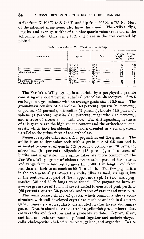strike from N. 70° E. to S. 75° E. and dip from 60° S. to 73° N. Most of the silicified shear zones also have this trend. The strikes, dips, lengths, and average widths of the nine quartz veins are listed in the following table. Only veins 1, 2, and 3 are in the area covered by plate 4.

|  |  | Vein dimensions, Far West Willys group |  |  |  |  |
|--|--|----------------------------------------|--|--|--|--|
|--|--|----------------------------------------|--|--|--|--|

| Name or no.                                                                                                     | Strike                                                                                     | Dip                                                                                                                                              | Outcrop<br>length<br>(feet)           | A verage<br>width<br>(feet) |
|-----------------------------------------------------------------------------------------------------------------|--------------------------------------------------------------------------------------------|--------------------------------------------------------------------------------------------------------------------------------------------------|---------------------------------------|-----------------------------|
| 3<br>------------------------------<br>Aiken shaft yein<br>4                                                    | $N.76^{\circ}$ E.<br>N. 88° E<br>$N.86^{\circ}$ E<br>N. 75° W.<br>$N.70^{\circ}$ E<br>East | $60^\circ$ S.<br>$74^{\circ}$ S<br>$78^\circ$ S.<br>$90^{\circ}$<br>75° N<br>and the company of the<br>$81^{\circ}$ S <sub>press</sub> , seconds | 30<br>105<br>316<br>310<br>240<br>240 | 0.35<br>. 35<br>1.2<br>1.0  |
| 6.<br>the control of the control of the control of<br>Thackman tunnel vein.<br>.<br><b>Far West Willys vein</b> | $N.75^{\circ} W$<br>$N.72^{\circ} E$<br>$N.87^{\circ} W.$                                  | $82^{\circ}$ N $\ldots$ $\ldots$ $\ldots$<br>$61^{\circ}$ S.<br>73° N                                                                            | 11<br>50<br>80                        | . 8<br>. 8<br>. 5           |

The Far West Willys group is underlain by a porphyritic granite consisting of about 7 percent euhedral orthoclase phenocrysts,  $0.6$  to 5 cm long, in a groundmass with an average grain size of 2.5 mm. The cm long, in a ground mass with an average grain size of  $2.5$  mm. groundmass consists of orthoclase (50 percent), quartz (21 percent), oligoclase (16 percent), microcline (9 percent), biotite (1.5 percent), sphene (1 percent), apatite (0.5 percent), magnetite (0.5 percent), and a trace of zircon and hornblende. The distinguishing features of this granite are the high sphene content and the orthoclase phenocrysts, which have hornblende inclusions oriented in a zonal pattern parallel to the prism faces of the orthoclase.

Numerous aplite dikes and a few pegmatites cut the granite. The aplite is an equigranular rock with a grain size of 0.5 mm and is estimated to consist of quartz (32 percent), orthoclase (26 percent), microcline (24 percent), oligoclase (18 percent), and a trace of biotite and magnetite. The aplite dikes are more common on the Far West Willys group of claims than in other parts of the district and range from a few feet to more than 500 ft in length and from less than an inch to as much as 20 ft in width. The few pegmatites in the area generally transect the aplite dikes as small stringers, but in the south-central part of the mapped area (pi. 4) two small pegmatites (38 and 62 ft long) were found. The pegmatites have an average grain size of 1 in. and are estimated to consist of pink perthite (65 percent), quartz (35 percent), and traces of garnet and muscovite.

The veins consist chiefly of quartz, which commonly shows comb structure with well-developed crystals as much as an inch in diameter. Other minerals are irregularly distributed in thin layers and aggregates. Next in abundance to quartz is a yellowish-green mineral that coats cracks and fractures and is probably epidote. Copper, silver, and lead minerals are commonly found together and include chrysocolla, chalcopyrite, chalcocite, tenorite, galena, and argentite. Barite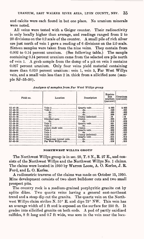and calcite were each found in but one place. No uranium minerals were noted.

All veins were tested with a Geiger counter. Their radioactivity is only locally higher than average, and readings ranged from 2 to 20 divisions on the 0.2 scale of the counter. A small pile of rich silver ore just north of vein 1 gave a reading of 6 divisions on the 2.0 scale. Sixteen samples were taken from the nine veins. They contain from 0.002 to 0.14 percent uranium. (See following table.) The sample  $0.002$  to  $0.14$  percent uranium. (See following table.) containing 0.14 percent uranium came from the selected ore pile north of vein 1. A grab sample from the dump of a pit on vein  $\overline{5}$  contains 0.027 percent uranium. Only four veins yield material containing more than 0.010 percent uranium: vein 1, vein 5, Far West Willys vein, and a small vein less than 2 in. thick from a silicified zone (sample SJ-53-50).

| Field no.                                   | Location         | Description                       | Equiva-<br>lent      | Uranium   |
|---------------------------------------------|------------------|-----------------------------------|----------------------|-----------|
|                                             |                  |                                   | uranium<br>(percent) | (percent) |
| SJ-47-50                                    | Vein 2           | Quartz vein                       | 0.003                | 0.003     |
| $S$ J-48-50,,,,,,,,,,,,,,,,,,,,,,,          | Vein 1           | do                                | .020                 | .021      |
|                                             | $SI-49-50$       |                                   | .005                 | .005      |
|                                             | $SI - 50 - 50$   |                                   | .008                 | .007      |
|                                             | $8J-5l-50$       | Dump (selected)                   | .14                  | : 14      |
| $SI-52-50$                                  |                  |                                   | .005                 | .007      |
| $SI-53-50$                                  |                  |                                   | .016                 | .019      |
|                                             |                  | Quartz vein                       | .001                 | .002      |
|                                             | $SI-55-50$       |                                   | .004                 | .005      |
| $S$ <b>J</b> -56-50,,,,,,,,,,,,,,,,,,,,,,,, | Aiken shaft yein | $Dump$ <sub>---------------</sub> | .004                 | .004      |
|                                             |                  |                                   | .002                 | .002      |
|                                             |                  |                                   | .012                 | .010      |
|                                             | $SI-59-50$       | $Dump$ (selected)                 | .033                 | .027      |
|                                             |                  |                                   | .013                 | .012      |
|                                             |                  |                                   | .004                 | .006      |
| SJ-62-50                                    |                  |                                   | . 019                | .016      |
|                                             |                  |                                   |                      |           |

*Analyses of samples from Far West Willys group*

#### **NORTHWEST WILLYS GROUP**

The Northwest Willys group is in sec. 29, T. 8 N., R. 27 E., and consists of the Northwest Willys and the Northwest Willys No. 1 claims. The claims were located in 1950 by Warren Loose, A. O. Kerlee, J. K. Ford, and L. O. Kerlee.

A radiometric traverse of the claims was made on October 15,1950. Mine development consists of two short bulldozer cuts and two small prospect pits.

The country rock is a medium-grained porphyritic granite cut by aplite dikes. Two quartz veins having a general east-northeast trend and a steep dip cut the granite. The quartz vein on the Northwest Willys claim strikes N. 55° E. and dips 75° NW. This vein has an average width of 1 ft and is exposed on the surface for 250 ft. grades into silicified granite on both ends. A pod of partly oxidized sulfides, 8 ft long and 0.7 ft wide, was seen in the vein near the loca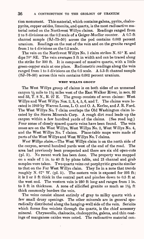tion monument. This material, which contains galena, pyrite, chalcopyrite, copper oxides, limonite, and quartz, is the most radioactive material noted on the Northwest Willys claims. Readings ranged from 2 to 8 divisions on the 0.2 scale of a Geiger-Mueller counter. A 0.7-ft channel sample (SJ-75-50) across the pod contains 0.003 percent uranium. Readings on the rest of the vein and on the granite ranged from 1 to 4 divisions on the 0.2 scale.

The vein on the Northwest Willys No. 1 claim strikes N. 85° E. and dips 70° SE. The vein averages 3 ft in width and can be traced along the strike for 300 ft. It is composed of massive quartz, with a little green-copper stain at one place. Radiometric readings along the vein ranged from 1 to 5 divisions on the 0.2 scale. A 5.3-ft channel sample (SJ-76-50) across this vein contains 0.002 percent uranium.

### **WEST WILJLYS GROUP**

The West Willys group of claims is on both sides of an unnamed canyon *y2* mile to *iy2* miles west of the East Walker River, in sees. 32 and 33, T. 8 N., R. 27 E. The group consists of seven claims: West Willys and West Willys Nos. 2, 3, 4, 5, 6, and 7. The claims were located in 1949 by Warren Loose, L. O. and O. A. Kerlee, and J. R. Ford. The West Willys No. 7 claim overlaps the Old Washington claim located by the Sierra Minerals Corp. A rough dirt road leads up the canyon within a few hundred yards of the claims. (See road log.) Four zones of closely spaced quartz veins have been found. The vein zones are on the West Willys, West Willys No. 2, West Willys No. 4, and the West Willys No. 7 claims. Plane-table maps were made of parts of the West Willys and West Willys No. 7 claims.

*West Willys claim.* The West Willys claim is on the north side of the canyon, several hundred yards west of the end of the road. The area had previously been prospected and there are six old open-cuts (pl. 5). No recent work has been done. The property was mapped on a scale of 1 in. to 40 ft by plane table, and 13 channel and grab samples were taken. Two quartz veins cut porphyritic granite similar to that on the Far West Willys claim. They lie in a zone that trends roughly N. 67° W. (pl. 5). The eastern vein is exposed for 293 ft; it is 2 or 3 ft thick in the central part and pinches down to 0.5 ft at the west end. The western vein is 250 ft long and ranges from 1 in. to 3 ft in thickness. A zone of silicified granite as much as  $1\frac{1}{2}$  ft thick commonly borders the vein.

The veins consist almost entirely of gray to milky quartz with a few small drusy openings. The other minerals are in general sporadically distributed along the hanging-wall side of the vein. Sericite which forms fine veinlets through the quartz, is the chief accessory mineral. Chrysocolla, chalcocite, chalcopyrite, galena, and thin coatings of manganese oxides were noted. The radioactive material con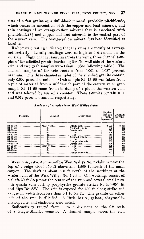sists of a few grains of a dull-black mineral, probably pitchblende, which occurs in association with the copper and lead minerals, and thin coatings of an orange-yellow mineral that is associated with pitchblende $(?)$  and copper and lead minerals in the central part of the western vein. The orange-yellow mineral has been identified as kasolite.

Kadiometric testing indicated that the veins are mostly of average radioactivity. Locally readings were as high as 6 divisions on the 2.0 scale. Eight channel samples across the veins, three channel samples of the silicified granite bordering the footwall side of the western vein, and two grab samples were taken. (See following table.) The channel samples of the vein contain from 0.001 to 0.087 percent uranium. The three channel samples of the silicified granite contain only 0.002 percent uranium. Grab sample SJ-73-50 was taken from a pile of material from a sulfide-rich part of the eastern vein; grab sample SJ-74-50 came from the dump of a pit in the western vein and was selected by use of a counter. These samples contain 0.11 and 0.072 percent uranium, respectively.

| Field no.                                                           | Location | Description                                                                                                                                                  | Equiva-<br>lent ura-<br>nium<br>(percent)                                                             | Uranium<br>(percent)                                                                                    |
|---------------------------------------------------------------------|----------|--------------------------------------------------------------------------------------------------------------------------------------------------------------|-------------------------------------------------------------------------------------------------------|---------------------------------------------------------------------------------------------------------|
| $SI-64-50$<br>$SI-66-50$<br>$SI-103-50$<br>$SI-70-50$<br>$SI-73-50$ |          | Quartz vein<br>Silicified granite<br>Quartz vein<br>$d\sigma$<br>Silicified granite<br>.do<br>Dump (selected)<br>Quartz vein<br>$d\theta$<br>Dump (selected) | 0.093<br>.002<br>.018<br>.001<br>.013<br>.002<br>.002<br>.063<br>.001<br>.001<br>.003<br>.008<br>.100 | 0.087<br>.002<br>.015<br>.002<br>.013<br>.002<br>.002<br>.072<br>.001<br>.002<br>.003<br>. 009<br>. 110 |

*Analyses of samples from West Willys claim*

*West Willys No. 2 claim.* – The West Willys No. 2 claim is near the top of a ridge about 450 ft above and 1,500 ft north of the main canyon. The shaft is about 500 ft north of the workings at the western end of the West Willys No. 7 vein. Old workings consist of a shaft 30 ft deep near the center of the vein and several small pits.

A quartz vein cutting porphyritic granite strikes N. 40°-65° E. and dips 75° SW. The vein is exposed for 500 ft along strike and ranges in width from less than 0.1 to 0.8 ft. The granite on either side of the vein is silicified. A little barite, galena, chrysocolla, chalcopyrite, and chalcocite were noted.

Radioactivity ranged from 1 to 5 divisions on the 0.2 scale of a Geiger-Mueller counter. A channel sample across the vein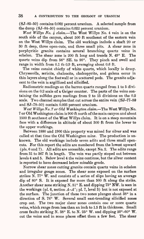(SJ-85-50) contains 0.002 percent uranium. A selected sample from the dump (SJ-84-50) contains 0.022 percent uranium.

*West Willys No. 4 claim.* The West Willys No. 4 vein is on the south side of the canyon, about 500 ft southeast of the eastern vein on the West Willys claim. The old workings include a shaft 20 or 30 ft deep, three open-cuts, and three small pits. A shear zone in porphyritic granite contains several branching quartz veins in echelon. The shear zone is 200 ft long and trends N. 49° E. The quartz veins dip from 56° SE. to 90°. They pinch and swell and range in width from 0.1 to 0.9 ft, averaging about 0.6 ft.

The veins consist chiefly of white quartz, which locally is drusy. Chrysocolla, sericite, chalcocite, chalcopyrite, and galena occur in thin layers along the footwall or in scattered pods. The granite adjacent to the vein is argillized and silicified.

Radiometric readings on the barren quartz ranged from 1 to 5 divisions on the 0.2 scale of a Geiger counter. The parts of the veins containing the sulfides gave readings from 2 to 15 divisions on the 0.2 scale. Two channel samples that cut across the entire vein (SJ-77-50) and SJ-78-50) contain  $0.003$  percent uranium.

*West Willys No. 7 or Old Washington claim.* The West Willys No. 7 or Old Washington claim is 900 ft north of the main canyon and about 1500 ft southeast of the West Willys claim. It is on a steep mountain face with a difference in altitude of about 300 ft from the lower to the upper workings.

Between 1880 and 1900 this property was mined for silver and was called at that time the Old Washington mine. The production is unknown. The old workings include seven adits and three small opencuts. For this report the adits are numbered from the lowest upward (pis. 6 and 7). All adits are accessible, except No. 2. The adits range from 31 to 367 ft in length. The vein was partly stoped out between levels 4 and 5. Below level 4 the veins continue, but the silver content is reported to have decreased below minable grade.

Narrow shear zones cutting granite contain quartz veins in echelon and irregular gouge zones. The shear zone exposed on the surface strikes N. 77° W. and consists of a series of slips having an average dip of 80° S. It is exposed for more than 500 ft along the strike. Another shear zone striking N. 51° E. and dipping 73° NW. is seen in the workings (pl. 6, section  $A-A'$ ; pl. 7, level 3) but is not exposed at the surface. The junction of these two zones plunges about 38° in a direction of S. 76° W. Several small east-trending silicified zones crop out. The two major shear zones contain one or more quartz veins, which range from less than an inch to 1.5 ft in thickness. Small cross faults striking N. 38° E. to N. 25° W. and dipping 50°-60° W. cut the veins and in some places offset them a few feet. The shear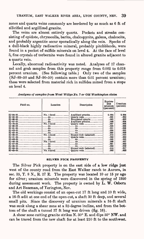zones and quartz veins commonly are bordered by as much as 6 ft of silicified and argillized granite.

The veins are almost entirely quartz. Pockets and streaks consisting of epidote, chrysocolla, barite, chalcopyrite, galena, chalcocite, and probably argentite occur sporadically along the vein. Specks of a dull-black highly radioactive mineral, probably pitchblende, were found in a pocket of sulfide minerals on level 4. At the face of level 3, fine crystals of torbernite were found in altered granite adjacent to a quartz vein.

Locally, abnormal radioactivity was noted. Analyses of 17 channel and grab samples from this property range from 0.002 to 0.018 percent uranium. (See following table.) Only two of the samples  $(SJ-89-50$  and  $SJ-90-50$ ) contain more than 0.01 percent uranium; these were selected from material rich in sulfides mined from a stope on level 4.

*Analyses of samples from West Willys No.* 7 *or Old Washington claim*

| Field no.                                                        | Location                               | Description                                                                                                                                                                                                                                               | Equiva-<br>lent<br>uranium<br>(percent)                                                                                               | Uranium<br>(percent)                                                                                                                  |
|------------------------------------------------------------------|----------------------------------------|-----------------------------------------------------------------------------------------------------------------------------------------------------------------------------------------------------------------------------------------------------------|---------------------------------------------------------------------------------------------------------------------------------------|---------------------------------------------------------------------------------------------------------------------------------------|
| $SI-94-50$<br>$SI-97-50$<br>$SI-90-50$<br>$SI-89-50$<br>8J-93-50 | -do------------------<br>$No. 6 level$ | Argillized granite<br>Quartz vein<br>Brecciated quartz<br>Argillized granite<br>---- do---------------- <b>-----</b><br>Stoped rock (selected)<br>$SI-92-50$<br>$d\theta$ and $\theta$ and $\theta$ and $\theta$<br>Stoped rock (selected)<br>Quartz vein | 0.004<br>.001<br>.003<br>.006<br>.007<br>.008<br>.011<br>.004<br>.003<br>.014<br>.002<br>.003<br>.006<br>.001<br>.002<br>.014<br>.002 | 0.004<br>.002<br>.002<br>.004<br>.006<br>.008<br>.008<br>.003<br>.002<br>.018<br>.002<br>.003<br>.007<br>.002<br>.002<br>.017<br>.002 |

#### **SILVER PICK PROPERTY**

The Silver Pick property is on the east side of a low ridge just west of the county road from the East Walker ranch to Aurora, in sec. 35, T. 8 N., R. 27 E. The property was located 10 or 15 yr ago for silver; uranium minerals were discovered in the spring of 1950 during assessment work. The property is owned by  $\bar{L}$ . W. Osborn and Art Baseman, of Yerington, Nev.

The old workings consist of an open-cut 17 ft long and 10 ft wide, a 16-ft adit at one end of the open-cut, a shaft 30 ft deep, and several small pits. Since the discovery of uranium minerals a 34-ft shaft was sunk along a shear zone at a 52-degree incline, and from the bottom of the shaft a tunnel 37 ft long was driven (fig. 16).

A shear zone cutting granite strikes N. 30° E. and dips 50° NW. and can be traced from the new shaft for at least 210 ft to the southwest.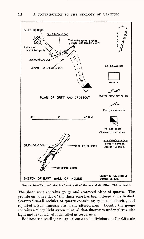

FIGURE 16. Plan and sketch of east wall of the new shaft, Silver Pick property.

The shear zone contains gouge and scattered blebs of quartz. The granite on both sides of the shear zone has been altered and silicified. Scattered small nodules of quartz containing galena, chalcocite, and reported silver minerals are in the altered zone. Locally the gouge contains a platy light-green mineral that fluoresces under ultraviolet light and is tentatively identified as torbernite.

Radiometric readings ranged from 5 to 15 divisions on the 0.2 scale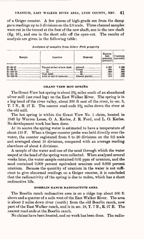of a Geiger counter. A few pieces of high-grade ore from the dump gave readings up to 5 divisions on the 2.0 scale. Three channel samples were cut in the tunnel at the foot of the new shaft, one in the new shaft (fig. 16), and one in the short adit off the open-cut. The results of analysis are given in the following table:

| Sample        | Location                    | Material         | Equiva-<br>lent<br>uranium<br>(percent) | Uranium<br>(percent) |
|---------------|-----------------------------|------------------|-----------------------------------------|----------------------|
| SJ-98-50      | Tunnel at foot of new shaft | Altered          | 0.007                                   | 0.006                |
| SJ-99-50      | d٥                          | Gouge.           | .009                                    | . 005                |
| SJ-100-50.    | d٥                          | đ٥               | .009                                    | .005                 |
| SJ-101-50.    | New shaft.                  | đo               | .011                                    | .006                 |
| $SJ-102-50$ . | Adit at end of open-cut     | Altered granite. | . 015                                   | .013                 |

#### *Analyses of samples from Silver Pick property*

#### **GRANT VIEW HOT SPRING**

The Grant View hot spring is about  $2\frac{3}{4}$  miles south of an abandoned silver mill (see road log) on the East Walker River. The spring is in a big bend of the river valley, about 300 ft east of the river, in sec. 8, T. 7 N., R. 27 E. The nearest road ends 2% miles down the river at the old mill.

The hot spring is within the Grant View No. 1 claim, located in 1949 by Warren Loose, O. A. Kerlee, J. R. Ford, and L. O. Kerlee. No development work has been done.

At its source the spring water is estimated to have a temperature of about 110 F. When a Geiger counter probe was held directly over the water, the counter registered from 8 to 20 divisions on the 0.2 scale and averaged about 10 divisions, compared with an average reading elsewhere of about 4 divisions.

A sample of the water and one of the sand through which the water seeped at the head of the spring were collected. When analysed several weeks later, the water sample contained 0.02 ppm of uranium, and the sand contained 0.008 percent equivalent uranium and 0.002 percent uranium. Because the quantity of uranium in the water is not sufficient to give abnormal readings on a Geiger counter, it is concluded that the radioactivity of the spring is due to radon, which has a short radioactive life.

#### **BOERLIN RANCH RADIOACTIVE AREA**

The Boerlin ranch radioactive area is on a ridge top about 500 ft above and a quarter of a mile west of the East Walker River. The area is about 2 miles down river (north) from the old Boerlin ranch, now part of the East Walker ranch, and is in sec. 18, T. 7 N., R. 27 E. The nearest road ends at the Boerlin ranch.

No claims have been located, and no work has been done. The radio-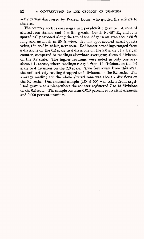activity was discovered by Warren Loose, who guided the writers to the area.

The country rock is coarse-grained porphyritic granite. A zone of altered iron-stained and silicified granite trends N. 65° E., and it is sporadically exposed along the top of the ridge in an area about 80 ft long and as much as 25 ft wide. At one spot several small quartz veins, 1 in. to 8 in. thick, were seen. Radiometric readings ranged from 4 divisions on the 0.2 scale to 4 divisions on the 2.0 scale of a Geiger counter, compared to readings elsewhere averaging about 4 divisions on the 0.2 scale. The higher readings were noted in only one area about 1 ft across, where readings ranged from 15 divisions on the 0.2 scale to 4 divisions on the 2.0 scale. Two feet away from this area, the radioactivity reading dropped to 6 divisions on the 0.2 scale. The average reading for the whole altered zone was about 7 divisions on the 0.2 scale. One channel sample (BS-5-50) was taken from argillized granite at a place- where the counter registered 7 to 15 divisions on the 0.2 scale. The sample contains 0.010 percent equivalent uranium and 0.009 percent uranium.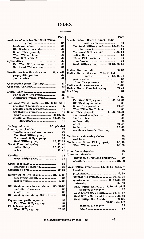# INDEX

|                                                                              | Page     |
|------------------------------------------------------------------------------|----------|
| Analyses of samples, Far West Willys                                         |          |
| group _______________                                                        | 35       |
| Lewis coal mine---------------                                               | 33       |
| Old Washington claim----------                                               | 39       |
| Silver Pick property__________<br>West Willys claim____________              | 41<br>37 |
| West Willys No. 7-------------                                               | 39       |
| Aplite dikes                                                                 | 32       |
| Far West Willys group________                                                | 34       |
| Northwest Willys group                                                       | 35       |
|                                                                              |          |
| Boerlin ranch radioactive area___ 31, 41-42<br>porphyritic granite           | 42       |
| quartz veins___________________                                              | 42       |
|                                                                              |          |
| Coal-bearing shales, Tertiary________                                        | 32       |
| Coal beds, Tertiary_________________                                         | 32       |
| Dikes. $aplife_{\text{---}}$                                                 | 32       |
| Far West Willys group---------                                               | 34       |
| Northwest Willys group_______                                                | 35       |
|                                                                              |          |
| Far West Willys group____ 31, 33-35; pl. 4                                   |          |
| analyses of samples                                                          | -35      |
| perthite-quartz pegmatites<br>porphyritic granite____________                | 34<br>34 |
| silver ______________________ 33, 34, 35                                     |          |
| quartz veins________________ 33, 34, 35                                      |          |
| dimensions_______________                                                    | 34       |
|                                                                              |          |
| Geology of area______________ 32; pls. 4-6                                   |          |
| Granite, porphyritic________________<br>Boerlin ranch radioactive area__     | 32<br>42 |
| Far West Willys group________                                                | -34      |
| Northwest Willys group_______                                                | 35       |
| West Willys group <sub>---------</sub> 36, 37, 38                            |          |
| Grant View hot spring______________ 31, 41                                   |          |
| radioactivity _______________ 32, 33, 41                                     |          |
| radon ________________________ 32,41                                         |          |
| Kasolite --------------------------                                          | 32       |
| West Willys group____________                                                | 37       |
|                                                                              |          |
| Lewis coal mine___________________                                           | 32       |
| analyses of samples___________                                               | 33       |
| Location of area <sub>------------------</sub> 29-31                         |          |
| Northwest Willys group_________ 31, 35-36                                    |          |
| porphyritic granite____________                                              | 35       |
|                                                                              |          |
|                                                                              |          |
| Old Washington mine, or claim__ 36, 38-39<br>analysis of samples____________ | 39       |
| silver___________________________                                            | 38       |
| Old Washington mining district                                               | 31       |
|                                                                              |          |
| Pegmatites, perthite-quartz_________                                         | 32       |
| Far West Willys group________                                                | 34       |
| Pitchblende, grains_________________                                         | 32       |
| West Willys group______________ 37, 39                                       |          |

| Page                                                                                 |
|--------------------------------------------------------------------------------------|
| Quartz veins, Boerlin ranch radio-                                                   |
| 42<br>active area <sub>-------</sub> ------                                          |
| Far West Willys group 33, 34, 35                                                     |
| dimensions________________<br>34                                                     |
| Northwest Willys group________ 35, 36<br>radioactivity __________________<br>33      |
| Silver Pick property__________<br>40                                                 |
| 29<br>uraniferous ___________________                                                |
| West Willys group______ 36, 37, 38, 39                                               |
|                                                                                      |
| Radioactive material______________ 32-33                                             |
| Radioactivity, Grant View hot                                                        |
|                                                                                      |
| quartz veins____________________<br>33<br>Silver Pick property___________<br>33      |
| Radiometric measurements_________ 31-32                                              |
| Radon, Grant View hot spring 32, 41                                                  |
| Road log____________________________<br>31                                           |
|                                                                                      |
| Silver ________________________________ 31, 32                                       |
| Far West Willys group_______ 33, 34, 35                                              |
| Old Washington mine__________<br>-38                                                 |
| Silver Pick property_____________ 39, 40                                             |
| West Willys No. 7 claim<br>38<br>Silver Pick property_________ 31, 32, 39-41         |
| analyses of samples____________<br>41                                                |
| quartz veins___________________<br>40                                                |
| radioactivity __________________<br>33                                               |
| silver _________________________ 39, 40                                              |
| torbernite <sub>--------------------</sub> 32, 40                                    |
| uranium minerals, discovery----<br>39                                                |
| Tertiary, coal-bearing shales<br>32                                                  |
| coal beds<br>32                                                                      |
| Torbernite, Silver Pick property____ 32, 40                                          |
| West Willys group_____________ 32, 39                                                |
|                                                                                      |
| Uraniferous deposits<br>29                                                           |
| Uranium minerals___________________<br>32                                            |
| discovery, Silver Pick property__<br>39                                              |
| occurrence ____________________ 31, 32                                               |
|                                                                                      |
| West Willys group 31, 36-39; pls. 5-7                                                |
| $kasolite$ <sub>---------------------</sub> 37                                       |
| pitchblende_______________________ 37, 39                                            |
| porphyritic granite__________ 36, 37, 38<br>quartz veins_____________ 36, 37, 38, 39 |
|                                                                                      |
| torbernite_____________________ 32, 39                                               |
| West Willys claim 31, 36-37; pl. 5                                                   |
| West Willys No. 2 claim______ 36, 37-38                                              |
| West Willys No. 4 claim________ 36, 38                                               |
| West Willys No. 7 claim______ 32, 36,                                                |
| $38-39$ ; pls. 6, 7                                                                  |
| 39<br>analyses of samples________                                                    |
| -38<br>silver _____________________                                                  |
|                                                                                      |

 $\cdot$